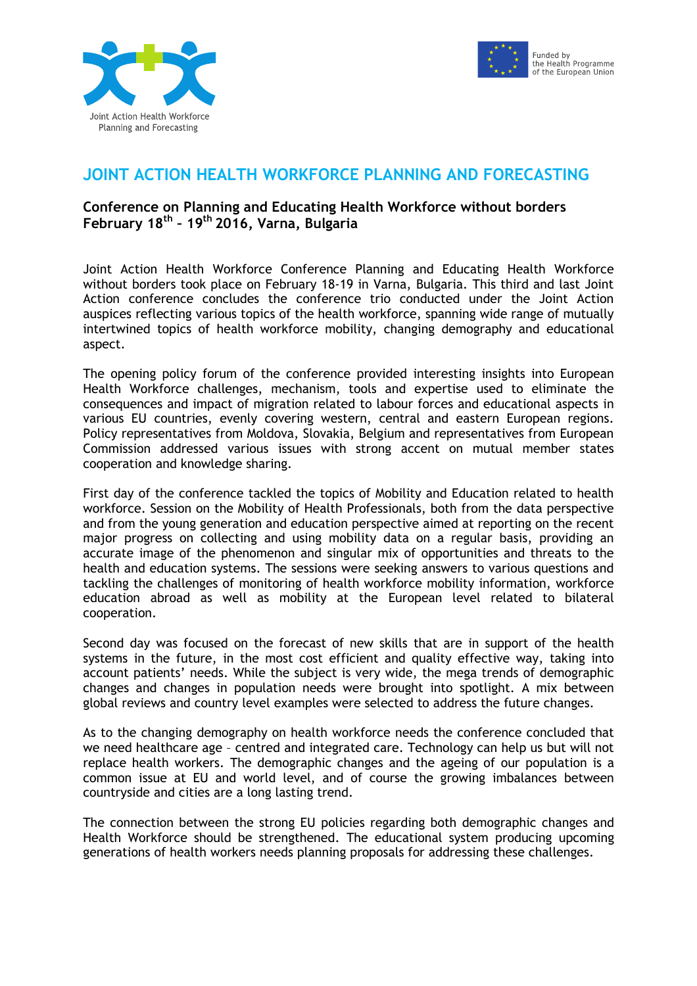



## **JOINT ACTION HEALTH WORKFORCE PLANNING AND FORECASTING**

## **Conference on Planning and Educating Health Workforce without borders February 18th – 19th 2016, Varna, Bulgaria**

Joint Action Health Workforce Conference Planning and Educating Health Workforce without borders took place on February 18-19 in Varna, Bulgaria. This third and last Joint Action conference concludes the conference trio conducted under the Joint Action auspices reflecting various topics of the health workforce, spanning wide range of mutually intertwined topics of health workforce mobility, changing demography and educational aspect.

The opening policy forum of the conference provided interesting insights into European Health Workforce challenges, mechanism, tools and expertise used to eliminate the consequences and impact of migration related to labour forces and educational aspects in various EU countries, evenly covering western, central and eastern European regions. Policy representatives from Moldova, Slovakia, Belgium and representatives from European Commission addressed various issues with strong accent on mutual member states cooperation and knowledge sharing.

First day of the conference tackled the topics of Mobility and Education related to health workforce. Session on the Mobility of Health Professionals, both from the data perspective and from the young generation and education perspective aimed at reporting on the recent major progress on collecting and using mobility data on a regular basis, providing an accurate image of the phenomenon and singular mix of opportunities and threats to the health and education systems. The sessions were seeking answers to various questions and tackling the challenges of monitoring of health workforce mobility information, workforce education abroad as well as mobility at the European level related to bilateral cooperation.

Second day was focused on the forecast of new skills that are in support of the health systems in the future, in the most cost efficient and quality effective way, taking into account patients' needs. While the subject is very wide, the mega trends of demographic changes and changes in population needs were brought into spotlight. A mix between global reviews and country level examples were selected to address the future changes.

As to the changing demography on health workforce needs the conference concluded that we need healthcare age – centred and integrated care. Technology can help us but will not replace health workers. The demographic changes and the ageing of our population is a common issue at EU and world level, and of course the growing imbalances between countryside and cities are a long lasting trend.

The connection between the strong EU policies regarding both demographic changes and Health Workforce should be strengthened. The educational system producing upcoming generations of health workers needs planning proposals for addressing these challenges.